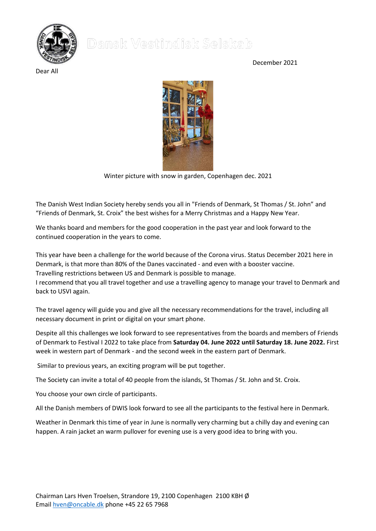## December 2021



Dear All



Winter picture with snow in garden, Copenhagen dec. 2021

The Danish West Indian Society hereby sends you all in "Friends of Denmark, St Thomas / St. John" and "Friends of Denmark, St. Croix" the best wishes for a Merry Christmas and a Happy New Year.

We thanks board and members for the good cooperation in the past year and look forward to the continued cooperation in the years to come.

This year have been a challenge for the world because of the Corona virus. Status December 2021 here in Denmark, is that more than 80% of the Danes vaccinated - and even with a booster vaccine. Travelling restrictions between US and Denmark is possible to manage.

I recommend that you all travel together and use a travelling agency to manage your travel to Denmark and back to USVI again.

The travel agency will guide you and give all the necessary recommendations for the travel, including all necessary document in print or digital on your smart phone.

Despite all this challenges we look forward to see representatives from the boards and members of Friends of Denmark to Festival I 2022 to take place from **Saturday 04. June 2022 until Saturday 18. June 2022.** First week in western part of Denmark - and the second week in the eastern part of Denmark.

Similar to previous years, an exciting program will be put together.

The Society can invite a total of 40 people from the islands, St Thomas / St. John and St. Croix.

You choose your own circle of participants.

All the Danish members of DWIS look forward to see all the participants to the festival here in Denmark.

Weather in Denmark this time of year in June is normally very charming but a chilly day and evening can happen. A rain jacket an warm pullover for evening use is a very good idea to bring with you.